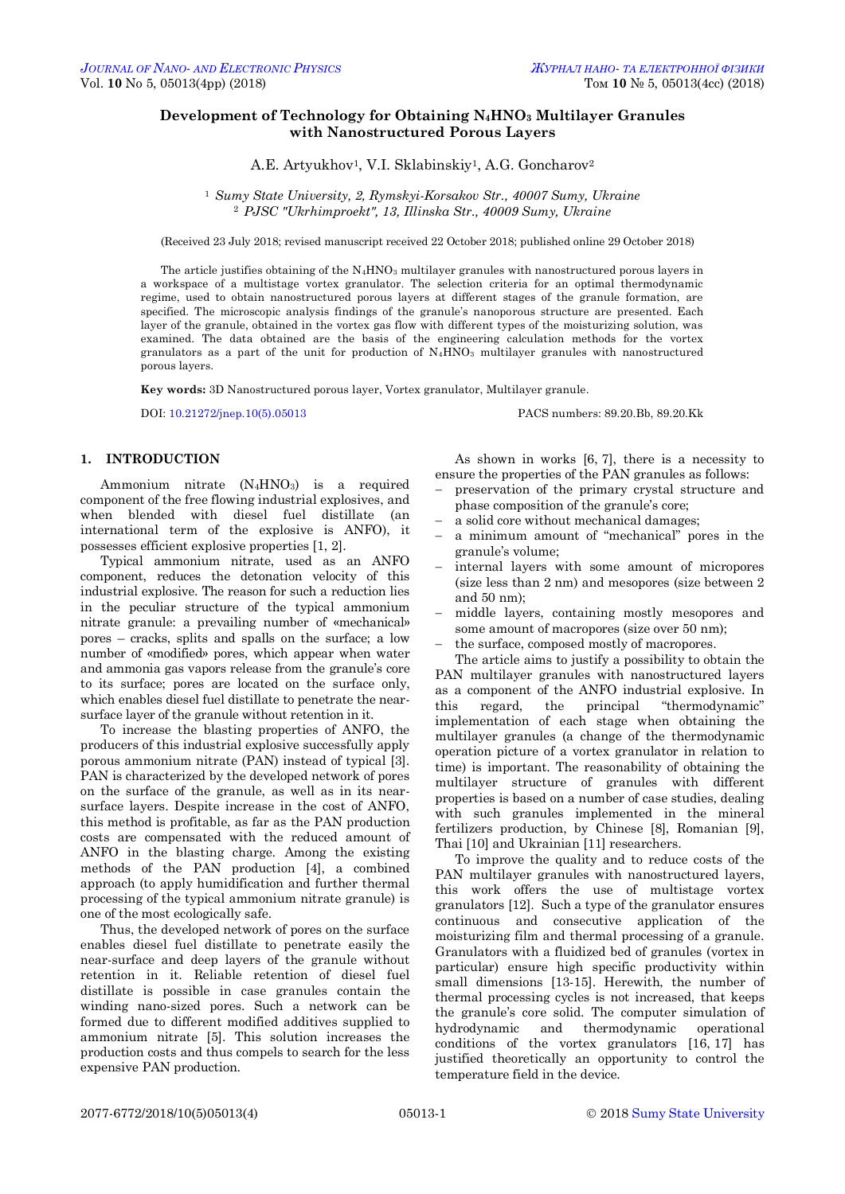# **Development of Technology for Obtaining N4HNO<sup>3</sup> Multilayer Granules with Nanostructured Porous Layers**

A.E. Artyukhov<sup>1</sup>, V.I. Sklabinskiy<sup>1</sup>, A.G. Goncharov<sup>2</sup>

<sup>1</sup> *Sumy State University, 2, Rymskyi-Korsakov Str., 40007 Sumy, Ukraine* <sup>2</sup> *PJSC "Ukrhimproekt", 13, Illinska Str., 40009 Sumy, Ukraine*

(Received 23 July 2018; revised manuscript received 22 October 2018; published online 29 October 2018)

The article justifies obtaining of the N<sub>4</sub>HNO<sub>3</sub> multilayer granules with nanostructured porous layers in a workspace of a multistage vortex granulator. The selection criteria for an optimal thermodynamic regime, used to obtain nanostructured porous layers at different stages of the granule formation, are specified. The microscopic analysis findings of the granule's nanoporous structure are presented. Each layer of the granule, obtained in the vortex gas flow with different types of the moisturizing solution, was examined. The data obtained are the basis of the engineering calculation methods for the vortex granulators as a part of the unit for production of N4HNO<sup>3</sup> multilayer granules with nanostructured porous layers.

**Key words:** 3D Nanostructured porous layer, Vortex granulator, Multilayer granule.

DOI: [10.21272/jnep.10\(5\).05013](https://doi.org/10.21272/jnep.10(5).05013) PACS numbers: 89.20.Bb, 89.20.Kk

### **1. INTRODUCTION**

Ammonium nitrate (N4HNO3) is a required component of the free flowing industrial explosives, and when blended with diesel fuel distillate (an international term of the explosive is ANFO), it possesses efficient explosive properties [1, 2].

Typical ammonium nitrate, used as an ANFO component, reduces the detonation velocity of this industrial explosive. The reason for such a reduction lies in the peculiar structure of the typical ammonium nitrate granule: a prevailing number of «mechanical» pores – cracks, splits and spalls on the surface; a low number of «modified» pores, which appear when water and ammonia gas vapors release from the granule's core to its surface; pores are located on the surface only, which enables diesel fuel distillate to penetrate the nearsurface layer of the granule without retention in it.

To increase the blasting properties of ANFO, the producers of this industrial explosive successfully apply porous ammonium nitrate (PAN) instead of typical [3]. PAN is characterized by the developed network of pores on the surface of the granule, as well as in its nearsurface layers. Despite increase in the cost of ANFO, this method is profitable, as far as the PAN production costs are compensated with the reduced amount of ANFO in the blasting charge. Among the existing methods of the PAN production [4], a combined approach (to apply humidification and further thermal processing of the typical ammonium nitrate granule) is one of the most ecologically safe.

<span id="page-0-0"></span>Thus, the developed network of pores on the surface enables diesel fuel distillate to penetrate easily the near-surface and deep layers of the granule without retention in it. Reliable retention of diesel fuel distillate is possible in case granules contain the winding nano-sized pores. Such a network can be formed due to different modified additives supplied to ammonium nitrate [5]. This solution increases the production costs and thus compels to search for the less expensive PAN production.

As shown in works [6, 7], there is a necessity to ensure the properties of the PAN granules as follows:

- preservation of the primary crystal structure and phase composition of the granule's core;
- a solid core without mechanical damages;
- a minimum amount of "mechanical" pores in the granule's volume;
- internal layers with some amount of micropores (size less than 2 nm) and mesopores (size between 2 and 50 nm);
- middle layers, containing mostly mesopores and some amount of macropores (size over 50 nm);
- the surface, composed mostly of macropores.

The article aims to justify a possibility to obtain the PAN multilayer granules with nanostructured layers as a component of the ANFO industrial explosive. In this regard, the principal "thermodynamic" implementation of each stage when obtaining the multilayer granules (a change of the thermodynamic operation picture of a vortex granulator in relation to time) is important. The reasonability of obtaining the multilayer structure of granules with different properties is based on a number of case studies, dealing with such granules implemented in the mineral fertilizers production, by Chinese [8], Romanian [9], Thai [10] and Ukrainian [11] researchers.

To improve the quality and to reduce costs of the PAN multilayer granules with nanostructured layers, this work offers the use of multistage vortex granulators [12]. Such a type of the granulator ensures continuous and consecutive application of the moisturizing film and thermal processing of a granule. Granulators with a fluidized bed of granules (vortex in particular) ensure high specific productivity within small dimensions [13-15]. Herewith, the number of thermal processing cycles is not increased, that keeps the granule's core solid. The computer simulation of hydrodynamic and thermodynamic operational conditions of the vortex granulators [16, 17] has justified theoretically an opportunity to control the temperature field in the device.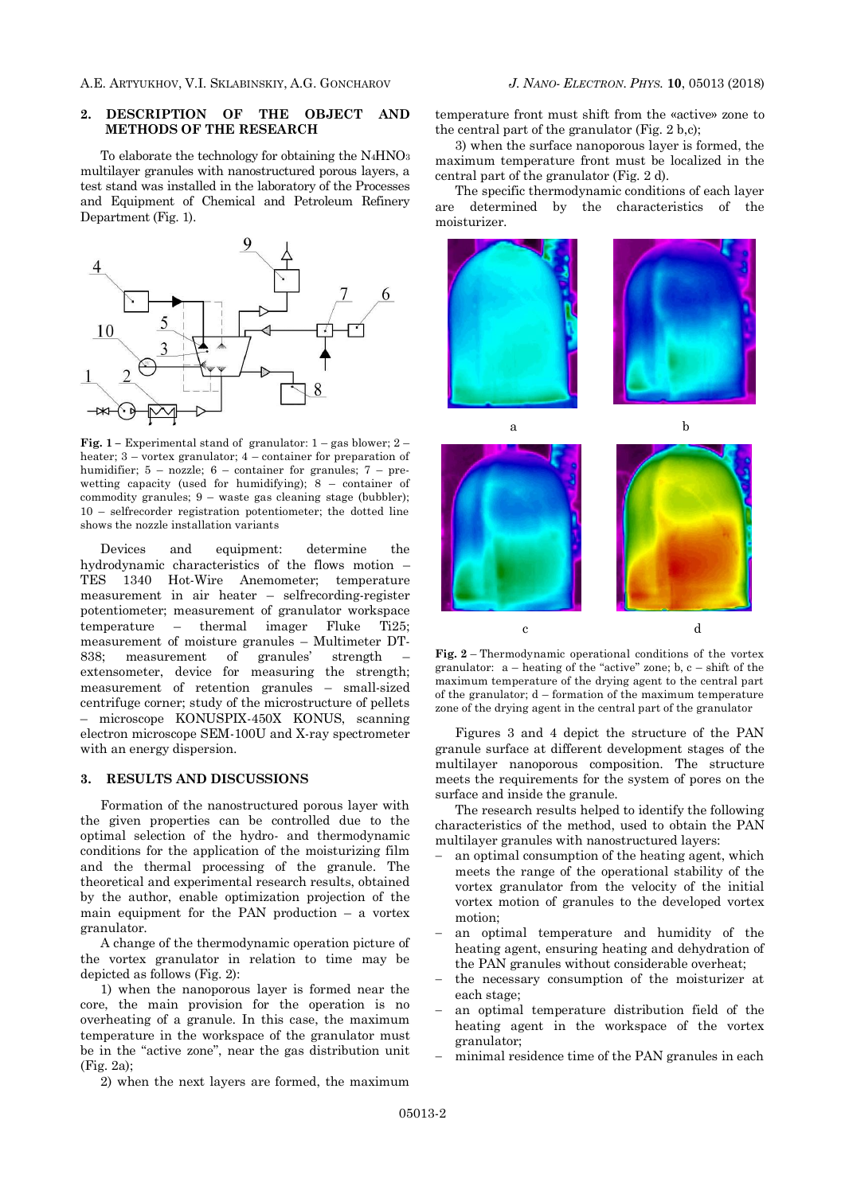### **2. DESCRIPTION OF THE OBJECT AND METHODS OF THE RESEARCH**

To elaborate the technology for obtaining the  $N_4HNO<sub>3</sub>$ multilayer granules with nanostructured porous layers, a test stand was installed in the laboratory of the Processes and Equipment of Chemical and Petroleum Refinery Department (Fig. 1).



**Fig. 1** – Experimental stand of granulator:  $1 - gas$  blower;  $2$ heater; 3 – vortex granulator; 4 – container for preparation of humidifier;  $5 - \text{nozz}$ le;  $6 - \text{container}$  for granules;  $7 - \text{pre}$ wetting capacity (used for humidifying); 8 – container of commodity granules; 9 – waste gas cleaning stage (bubbler); 10 – selfrecorder registration potentiometer; the dotted line shows the nozzle installation variants

Devices and equipment: determine the hydrodynamic characteristics of the flows motion – TES 1340 Hot-Wire Anemometer; temperature measurement in air heater – selfrecording-register potentiometer; measurement of granulator workspace temperature – thermal imager Fluke Ti25; measurement of moisture granules – Multimeter DT-838; measurement of granules' strength – extensometer, device for measuring the strength; measurement of retention granules – small-sized centrifuge corner; study of the microstructure of pellets – microscope KONUSPIX-450X KONUS, scanning electron microscope SEM-100U and X-ray spectrometer with an energy dispersion.

### **3. RESULTS AND DISCUSSIONS**

Formation of the nanostructured porous layer with the given properties can be controlled due to the optimal selection of the hydro- and thermodynamic conditions for the application of the moisturizing film and the thermal processing of the granule. The theoretical and experimental research results, obtained by the author, enable optimization projection of the main equipment for the PAN production – a vortex granulator.

A change of the thermodynamic operation picture of the vortex granulator in relation to time may be depicted as follows (Fig. 2):

1) when the nanoporous layer is formed near the core, the main provision for the operation is no overheating of a granule. In this case, the maximum temperature in the workspace of the granulator must be in the "active zone", near the gas distribution unit (Fig. 2a);

2) when the next layers are formed, the maximum

temperature front must shift from the «active» zone to the central part of the granulator (Fig. 2 b,c);

3) when the surface nanoporous layer is formed, the maximum temperature front must be localized in the central part of the granulator (Fig. 2 d).

The specific thermodynamic conditions of each layer are determined by the characteristics of the moisturizer.



**Fig. 2** – Thermodynamic operational conditions of the vortex granulator:  $a -$  heating of the "active" zone;  $b, c -$  shift of the maximum temperature of the drying agent to the central part of the granulator; d – formation of the maximum temperature zone of the drying agent in the central part of the granulator

Figures 3 and 4 depict the structure of the PAN granule surface at different development stages of the multilayer nanoporous composition. The structure meets the requirements for the system of pores on the surface and inside the granule.

The research results helped to identify the following characteristics of the method, used to obtain the PAN multilayer granules with nanostructured layers:

- an optimal consumption of the heating agent, which meets the range of the operational stability of the vortex granulator from the velocity of the initial vortex motion of granules to the developed vortex motion;
- an optimal temperature and humidity of the heating agent, ensuring heating and dehydration of the PAN granules without considerable overheat;
- the necessary consumption of the moisturizer at each stage;
- an optimal temperature distribution field of the heating agent in the workspace of the vortex granulator;
- minimal residence time of the PAN granules in each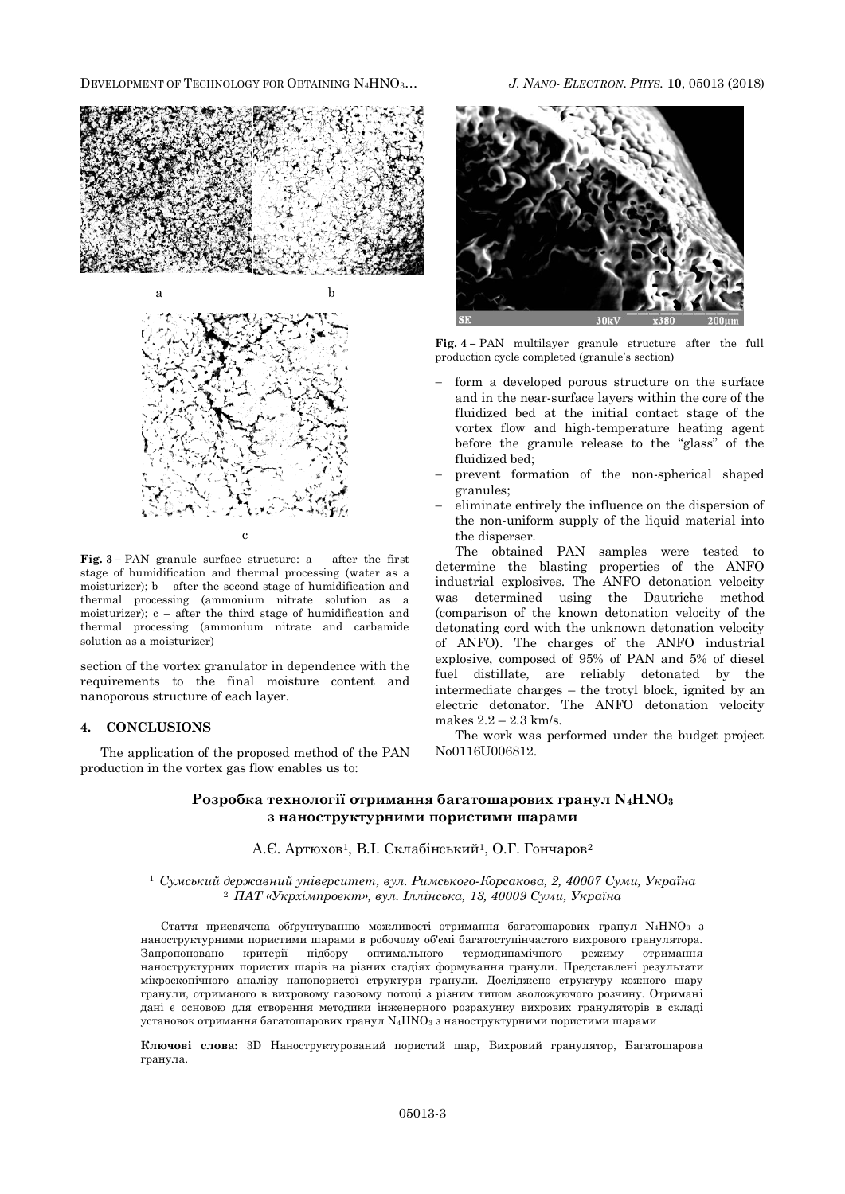DEVELOPMENT OF TECHNOLOGY FOR OBTAINING N4HNO3… *J. NANO- ELECTRON. PHYS.* **10**, [05013](#page-0-0) (2018)



**Fig. 3 –** PAN granule surface structure: a – after the first stage of humidification and thermal processing (water as a moisturizer);  $b - after the second stage of humidification and$ thermal processing (ammonium nitrate solution as a moisturizer); c – after the third stage of humidification and thermal processing (ammonium nitrate and carbamide solution as a moisturizer)

section of the vortex granulator in dependence with the requirements to the final moisture content and nanoporous structure of each layer.

## **4. CONCLUSIONS**

The application of the proposed method of the PAN production in the vortex gas flow enables us to:



**Fig. 4 –** PAN multilayer granule structure after the full production cycle completed (granule's section)

- form a developed porous structure on the surface and in the near-surface layers within the core of the fluidized bed at the initial contact stage of the vortex flow and high-temperature heating agent before the granule release to the "glass" of the fluidized bed;
- prevent formation of the non-spherical shaped granules;
- eliminate entirely the influence on the dispersion of the non-uniform supply of the liquid material into the disperser.

The obtained PAN samples were tested to determine the blasting properties of the ANFO industrial explosives. The ANFO detonation velocity was determined using the Dautriche method (comparison of the known detonation velocity of the detonating cord with the unknown detonation velocity of ANFO). The charges of the ANFO industrial explosive, composed of 95% of PAN and 5% of diesel fuel distillate, are reliably detonated by the intermediate charges – the trotyl block, ignited by an electric detonator. The ANFO detonation velocity makes 2.2 – 2.3 km/s.

The work was performed under the budget project No0116U006812.

# **Розробка технології отримання багатошарових гранул N4HNO<sup>3</sup> з наноструктурними пористими шарами**

### А.Є. Артюхов<sup>1</sup>, В.І. Склабінський<sup>1</sup>, О.Г. Гончаров<sup>2</sup>

<sup>1</sup> *Сумський державний університет, вул. Римського-Корсакова, 2, 40007 Суми, Україна* <sup>2</sup> *ПАТ «Укрхімпроект», вул. Іллінська, 13, 40009 Суми, Україна*

Стаття присвячена обґрунтуванню можливості отримання багатошарових гранул  $N_4HNO_3$  з наноструктурними пористими шарами в робочому об'ємі багатоступінчастого вихрового гранулятора. Запропоновано критерії підбору оптимального термодинамічного режиму отримання наноструктурних пористих шарів на різних стадіях формування гранули. Представлені результати мікроскопічного аналізу нанопористої структури гранули. Досліджено структуру кожного шару гранули, отриманого в вихровому газовому потоці з різним типом зволожуючого розчину. Отримані дані є основою для створення методики інженерного розрахунку вихрових грануляторів в складі установок отримання багатошарових гранул  $N_4HNO_3$  з наноструктурними пористими шарами

**Ключові слова:** 3D Наноструктурований пористий шар, Вихровий гранулятор, Багатошарова гранула.